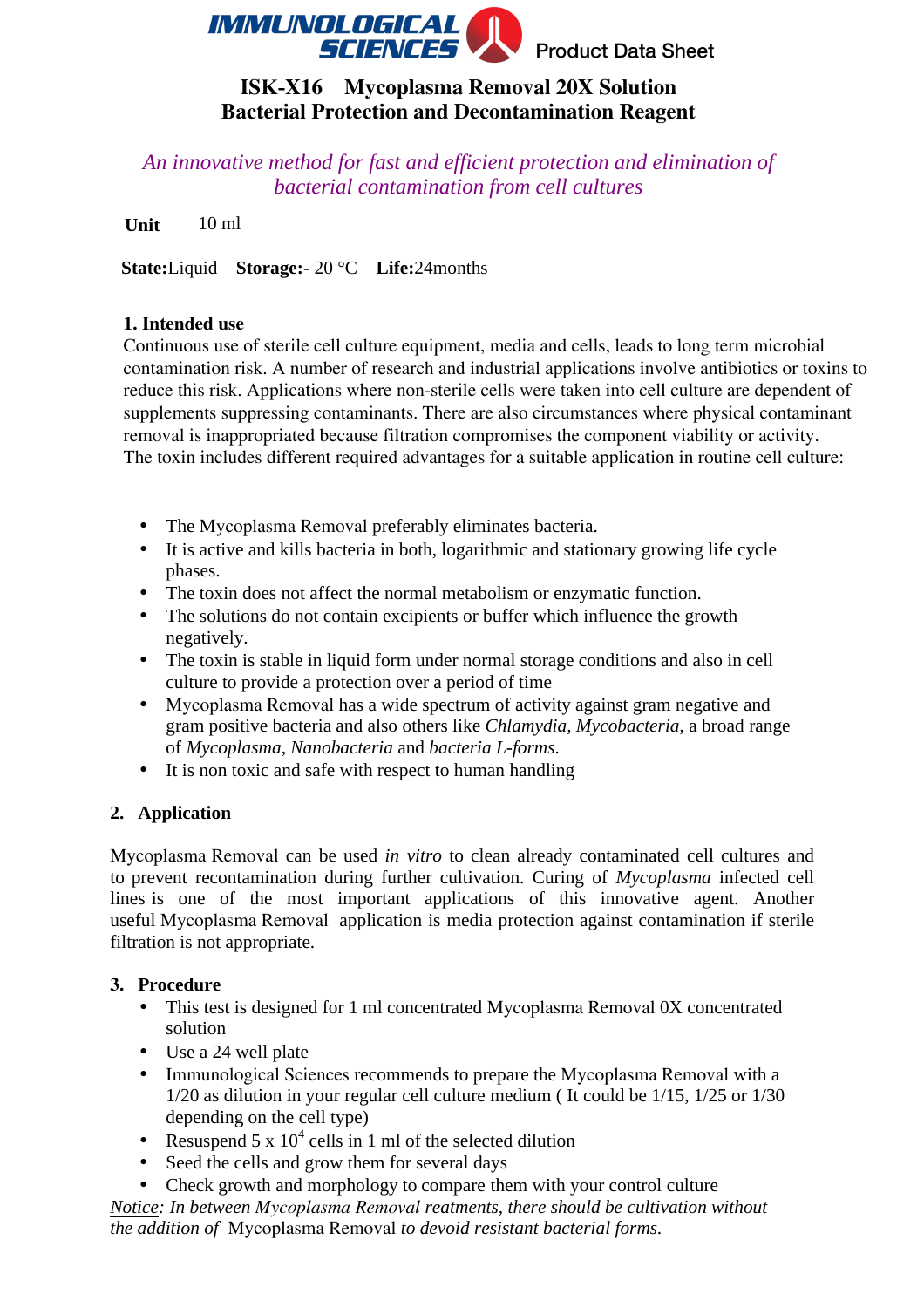

# **ISK-X16 Mycoplasma Removal 20X Solution Bacterial Protection and Decontamination Reagent**

*An innovative method for fast and efficient protection and elimination of bacterial contamination from cell cultures* 

**Unit** 10 ml

**State:**Liquid **Storage:**- 20 °C **Life:**24months

### **1. Intended use**

Continuous use of sterile cell culture equipment, media and cells, leads to long term microbial contamination risk. A number of research and industrial applications involve antibiotics or toxins to reduce this risk. Applications where non-sterile cells were taken into cell culture are dependent of supplements suppressing contaminants. There are also circumstances where physical contaminant removal is inappropriated because filtration compromises the component viability or activity. The toxin includes different required advantages for a suitable application in routine cell culture:

- The Mycoplasma Removal preferably eliminates bacteria.
- It is active and kills bacteria in both, logarithmic and stationary growing life cycle phases.
- The toxin does not affect the normal metabolism or enzymatic function.
- The solutions do not contain excipients or buffer which influence the growth negatively.
- The toxin is stable in liquid form under normal storage conditions and also in cell culture to provide a protection over a period of time
- Mycoplasma Removal has a wide spectrum of activity against gram negative and gram positive bacteria and also others like *Chlamydia, Mycobacteria*, a broad range of *Mycoplasma, Nanobacteria* and *bacteria L-forms*.
- It is non toxic and safe with respect to human handling

# **2. Application**

Mycoplasma Removal can be used *in vitro* to clean already contaminated cell cultures and to prevent recontamination during further cultivation. Curing of *Mycoplasma* infected cell lines is one of the most important applications of this innovative agent. Another useful Mycoplasma Removal application is media protection against contamination if sterile filtration is not appropriate.

# **3. Procedure**

- This test is designed for 1 ml concentrated Mycoplasma Removal 0X concentrated solution
- Use a 24 well plate
- Immunological Sciences recommends to prepare the Mycoplasma Removal with a 1/20 as dilution in your regular cell culture medium ( It could be 1/15, 1/25 or 1/30 depending on the cell type)
- Resuspend 5 x  $10^4$  cells in 1 ml of the selected dilution
- Seed the cells and grow them for several days
- Check growth and morphology to compare them with your control culture

*Notice: In between Mycoplasma Removal reatments, there should be cultivation without the addition of* Mycoplasma Removal *to devoid resistant bacterial forms.*